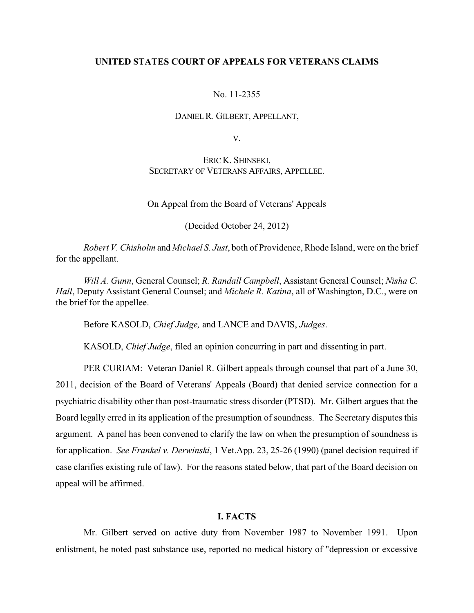### **UNITED STATES COURT OF APPEALS FOR VETERANS CLAIMS**

### No. 11-2355

#### DANIEL R. GILBERT, APPELLANT,

V.

## ERIC K. SHINSEKI, SECRETARY OF VETERANS AFFAIRS, APPELLEE.

On Appeal from the Board of Veterans' Appeals

(Decided October 24, 2012)

*Robert V. Chisholm* and *Michael S. Just*, both of Providence, Rhode Island, were on the brief for the appellant.

*Will A. Gunn*, General Counsel; *R. Randall Campbell*, Assistant General Counsel; *Nisha C. Hall*, Deputy Assistant General Counsel; and *Michele R. Katina*, all of Washington, D.C., were on the brief for the appellee.

Before KASOLD, *Chief Judge,* and LANCE and DAVIS, *Judges*.

KASOLD, *Chief Judge*, filed an opinion concurring in part and dissenting in part.

PER CURIAM: Veteran Daniel R. Gilbert appeals through counsel that part of a June 30, 2011, decision of the Board of Veterans' Appeals (Board) that denied service connection for a psychiatric disability other than post-traumatic stress disorder (PTSD). Mr. Gilbert argues that the Board legally erred in its application of the presumption of soundness. The Secretary disputes this argument. A panel has been convened to clarify the law on when the presumption of soundness is for application. *See Frankel v. Derwinski*, 1 Vet.App. 23, 25-26 (1990) (panel decision required if case clarifies existing rule of law). For the reasons stated below, that part of the Board decision on appeal will be affirmed.

#### **I. FACTS**

Mr. Gilbert served on active duty from November 1987 to November 1991. Upon enlistment, he noted past substance use, reported no medical history of "depression or excessive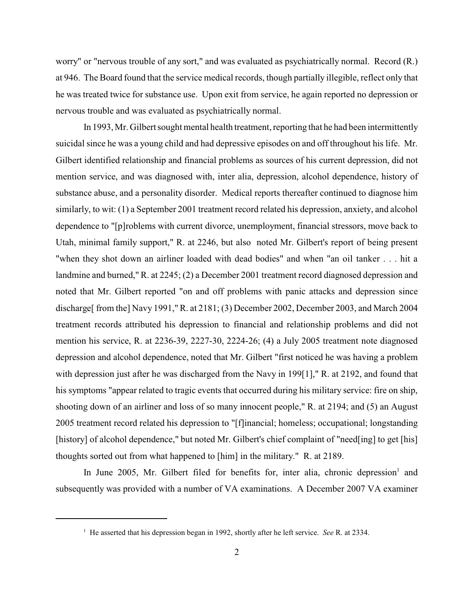worry" or "nervous trouble of any sort," and was evaluated as psychiatrically normal. Record (R.) at 946. The Board found that the service medical records, though partially illegible, reflect only that he was treated twice for substance use. Upon exit from service, he again reported no depression or nervous trouble and was evaluated as psychiatrically normal.

In 1993, Mr. Gilbert sought mental health treatment, reporting that he had been intermittently suicidal since he was a young child and had depressive episodes on and off throughout his life. Mr. Gilbert identified relationship and financial problems as sources of his current depression, did not mention service, and was diagnosed with, inter alia, depression, alcohol dependence, history of substance abuse, and a personality disorder. Medical reports thereafter continued to diagnose him similarly, to wit: (1) a September 2001 treatment record related his depression, anxiety, and alcohol dependence to "[p]roblems with current divorce, unemployment, financial stressors, move back to Utah, minimal family support," R. at 2246, but also noted Mr. Gilbert's report of being present "when they shot down an airliner loaded with dead bodies" and when "an oil tanker . . . hit a landmine and burned," R. at 2245; (2) a December 2001 treatment record diagnosed depression and noted that Mr. Gilbert reported "on and off problems with panic attacks and depression since discharge[ from the] Navy 1991," R. at 2181; (3) December 2002, December 2003, and March 2004 treatment records attributed his depression to financial and relationship problems and did not mention his service, R. at 2236-39, 2227-30, 2224-26; (4) a July 2005 treatment note diagnosed depression and alcohol dependence, noted that Mr. Gilbert "first noticed he was having a problem with depression just after he was discharged from the Navy in 199<sup>[1]</sup>," R. at 2192, and found that his symptoms "appear related to tragic events that occurred during his military service: fire on ship, shooting down of an airliner and loss of so many innocent people," R. at 2194; and (5) an August 2005 treatment record related his depression to "[f]inancial; homeless; occupational; longstanding [history] of alcohol dependence," but noted Mr. Gilbert's chief complaint of "need[ing] to get [his] thoughts sorted out from what happened to [him] in the military." R. at 2189.

In June 2005, Mr. Gilbert filed for benefits for, inter alia, chronic depression and subsequently was provided with a number of VA examinations. A December 2007 VA examiner

 $^1$  He asserted that his depression began in 1992, shortly after he left service. *See* R. at 2334.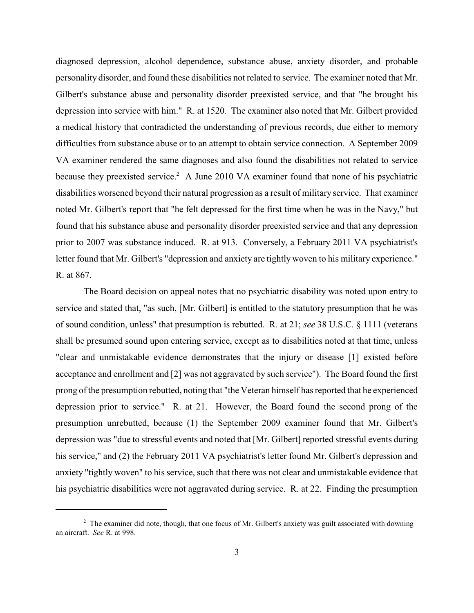diagnosed depression, alcohol dependence, substance abuse, anxiety disorder, and probable personality disorder, and found these disabilities not related to service. The examiner noted that Mr. Gilbert's substance abuse and personality disorder preexisted service, and that "he brought his depression into service with him." R. at 1520. The examiner also noted that Mr. Gilbert provided a medical history that contradicted the understanding of previous records, due either to memory difficulties from substance abuse or to an attempt to obtain service connection. A September 2009 VA examiner rendered the same diagnoses and also found the disabilities not related to service because they preexisted service.<sup>2</sup> A June 2010 VA examiner found that none of his psychiatric disabilities worsened beyond their natural progression as a result of military service. That examiner noted Mr. Gilbert's report that "he felt depressed for the first time when he was in the Navy," but found that his substance abuse and personality disorder preexisted service and that any depression prior to 2007 was substance induced. R. at 913. Conversely, a February 2011 VA psychiatrist's letter found that Mr. Gilbert's "depression and anxiety are tightly woven to his military experience." R. at 867.

The Board decision on appeal notes that no psychiatric disability was noted upon entry to service and stated that, "as such, [Mr. Gilbert] is entitled to the statutory presumption that he was of sound condition, unless" that presumption is rebutted. R. at 21; *see* 38 U.S.C. § 1111 (veterans shall be presumed sound upon entering service, except as to disabilities noted at that time, unless "clear and unmistakable evidence demonstrates that the injury or disease [1] existed before acceptance and enrollment and [2] was not aggravated by such service"). The Board found the first prong of the presumption rebutted, noting that "the Veteran himself has reported that he experienced depression prior to service." R. at 21. However, the Board found the second prong of the presumption unrebutted, because (1) the September 2009 examiner found that Mr. Gilbert's depression was "due to stressful events and noted that [Mr. Gilbert] reported stressful events during his service," and (2) the February 2011 VA psychiatrist's letter found Mr. Gilbert's depression and anxiety "tightly woven" to his service, such that there was not clear and unmistakable evidence that his psychiatric disabilities were not aggravated during service. R. at 22. Finding the presumption

 $2$  The examiner did note, though, that one focus of Mr. Gilbert's anxiety was guilt associated with downing an aircraft. *See* R. at 998.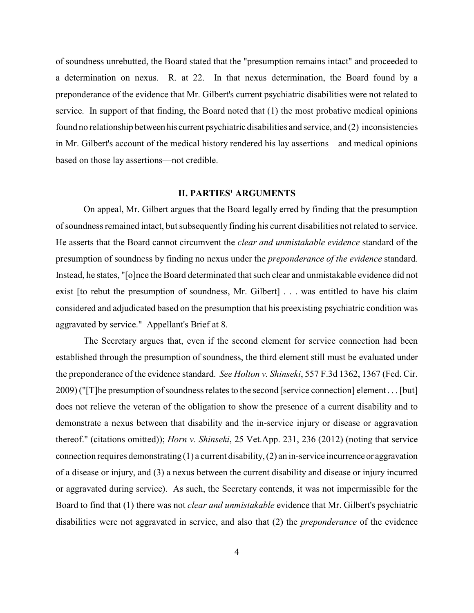of soundness unrebutted, the Board stated that the "presumption remains intact" and proceeded to a determination on nexus. R. at 22. In that nexus determination, the Board found by a preponderance of the evidence that Mr. Gilbert's current psychiatric disabilities were not related to service. In support of that finding, the Board noted that (1) the most probative medical opinions found no relationship between his current psychiatric disabilities and service, and (2) inconsistencies in Mr. Gilbert's account of the medical history rendered his lay assertions—and medical opinions based on those lay assertions—not credible.

### **II. PARTIES' ARGUMENTS**

On appeal, Mr. Gilbert argues that the Board legally erred by finding that the presumption of soundness remained intact, but subsequently finding his current disabilities not related to service. He asserts that the Board cannot circumvent the *clear and unmistakable evidence* standard of the presumption of soundness by finding no nexus under the *preponderance of the evidence* standard. Instead, he states, "[o]nce the Board determinated that such clear and unmistakable evidence did not exist [to rebut the presumption of soundness, Mr. Gilbert] . . . was entitled to have his claim considered and adjudicated based on the presumption that his preexisting psychiatric condition was aggravated by service." Appellant's Brief at 8.

The Secretary argues that, even if the second element for service connection had been established through the presumption of soundness, the third element still must be evaluated under the preponderance of the evidence standard. *See Holton v. Shinseki*, 557 F.3d 1362, 1367 (Fed. Cir. 2009) ("[T]he presumption of soundness relates to the second [service connection] element . . . [but] does not relieve the veteran of the obligation to show the presence of a current disability and to demonstrate a nexus between that disability and the in-service injury or disease or aggravation thereof." (citations omitted)); *Horn v. Shinseki*, 25 Vet.App. 231, 236 (2012) (noting that service connection requires demonstrating  $(1)$  a current disability,  $(2)$  an in-service incurrence or aggravation of a disease or injury, and (3) a nexus between the current disability and disease or injury incurred or aggravated during service). As such, the Secretary contends, it was not impermissible for the Board to find that (1) there was not *clear and unmistakable* evidence that Mr. Gilbert's psychiatric disabilities were not aggravated in service, and also that (2) the *preponderance* of the evidence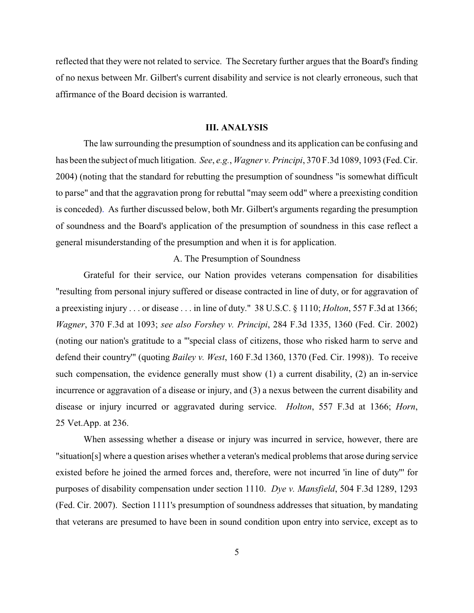reflected that they were not related to service. The Secretary further argues that the Board's finding of no nexus between Mr. Gilbert's current disability and service is not clearly erroneous, such that affirmance of the Board decision is warranted.

### **III. ANALYSIS**

The law surrounding the presumption of soundness and its application can be confusing and has been the subject of much litigation. *See*, *e.g.*, *Wagner v. Principi*, 370 F.3d 1089, 1093 (Fed. Cir. 2004) (noting that the standard for rebutting the presumption of soundness "is somewhat difficult to parse" and that the aggravation prong for rebuttal "may seem odd" where a preexisting condition is conceded). As further discussed below, both Mr. Gilbert's arguments regarding the presumption of soundness and the Board's application of the presumption of soundness in this case reflect a general misunderstanding of the presumption and when it is for application.

### A. The Presumption of Soundness

Grateful for their service, our Nation provides veterans compensation for disabilities "resulting from personal injury suffered or disease contracted in line of duty, or for aggravation of a preexisting injury . . . or disease . . . in line of duty." 38 U.S.C. § 1110; *Holton*, 557 F.3d at 1366; *Wagner*, 370 F.3d at 1093; *see also Forshey v. Principi*, 284 F.3d 1335, 1360 (Fed. Cir. 2002) (noting our nation's gratitude to a "'special class of citizens, those who risked harm to serve and defend their country'" (quoting *Bailey v. West*, 160 F.3d 1360, 1370 (Fed. Cir. 1998)). To receive such compensation, the evidence generally must show (1) a current disability, (2) an in-service incurrence or aggravation of a disease or injury, and (3) a nexus between the current disability and disease or injury incurred or aggravated during service. *Holton*, 557 F.3d at 1366; *Horn*, 25 Vet.App. at 236.

When assessing whether a disease or injury was incurred in service, however, there are "situation[s] where a question arises whether a veteran's medical problems that arose during service existed before he joined the armed forces and, therefore, were not incurred 'in line of duty"' for purposes of disability compensation under section 1110. *Dye v. Mansfield*, 504 F.3d 1289, 1293 (Fed. Cir. 2007). Section 1111's presumption of soundness addresses that situation, by mandating that veterans are presumed to have been in sound condition upon entry into service, except as to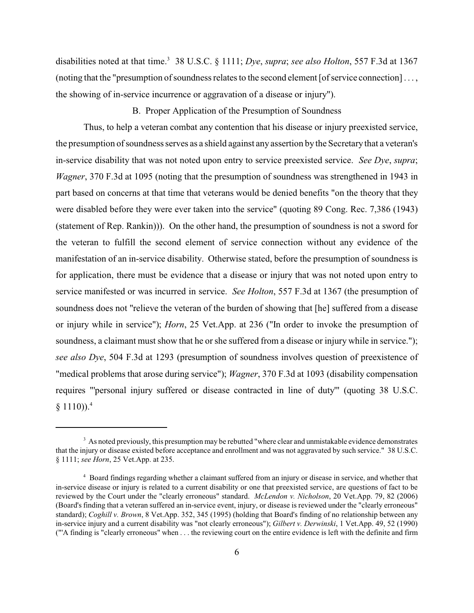disabilities noted at that time.<sup>3</sup> 38 U.S.C. § 1111; *Dye*, *supra*; *see also Holton*, 557 F.3d at 1367 (noting that the "presumption of soundness relates to the second element [of service connection] . . . , the showing of in-service incurrence or aggravation of a disease or injury").

B. Proper Application of the Presumption of Soundness

Thus, to help a veteran combat any contention that his disease or injury preexisted service, the presumption of soundness serves as a shield against any assertion by the Secretary that a veteran's in-service disability that was not noted upon entry to service preexisted service. *See Dye*, *supra*; *Wagner*, 370 F.3d at 1095 (noting that the presumption of soundness was strengthened in 1943 in part based on concerns at that time that veterans would be denied benefits "on the theory that they were disabled before they were ever taken into the service" (quoting 89 Cong. Rec. 7,386 (1943) (statement of Rep. Rankin))). On the other hand, the presumption of soundness is not a sword for the veteran to fulfill the second element of service connection without any evidence of the manifestation of an in-service disability. Otherwise stated, before the presumption of soundness is for application, there must be evidence that a disease or injury that was not noted upon entry to service manifested or was incurred in service. *See Holton*, 557 F.3d at 1367 (the presumption of soundness does not "relieve the veteran of the burden of showing that [he] suffered from a disease or injury while in service"); *Horn*, 25 Vet.App. at 236 ("In order to invoke the presumption of soundness, a claimant must show that he or she suffered from a disease or injury while in service."); *see also Dye*, 504 F.3d at 1293 (presumption of soundness involves question of preexistence of "medical problems that arose during service"); *Wagner*, 370 F.3d at 1093 (disability compensation requires "'personal injury suffered or disease contracted in line of duty'" (quoting 38 U.S.C.  $§ 1110$ )).<sup>4</sup>

<sup>&</sup>lt;sup>3</sup> As noted previously, this presumption may be rebutted "where clear and unmistakable evidence demonstrates" that the injury or disease existed before acceptance and enrollment and was not aggravated by such service." 38 U.S.C. § 1111; *see Horn*, 25 Vet.App. at 235.

<sup>&</sup>lt;sup>4</sup> Board findings regarding whether a claimant suffered from an injury or disease in service, and whether that in-service disease or injury is related to a current disability or one that preexisted service, are questions of fact to be reviewed by the Court under the "clearly erroneous" standard. *McLendon v. Nicholson*, 20 Vet.App. 79, 82 (2006) (Board's finding that a veteran suffered an in-service event, injury, or disease is reviewed under the "clearly erroneous" standard); *Coghill v. Brown*, 8 Vet.App. 352, 345 (1995) (holding that Board's finding of no relationship between any in-service injury and a current disability was "not clearly erroneous"); *Gilbert v. Derwinski*, 1 Vet.App. 49, 52 (1990) ("'A finding is "clearly erroneous" when . . . the reviewing court on the entire evidence is left with the definite and firm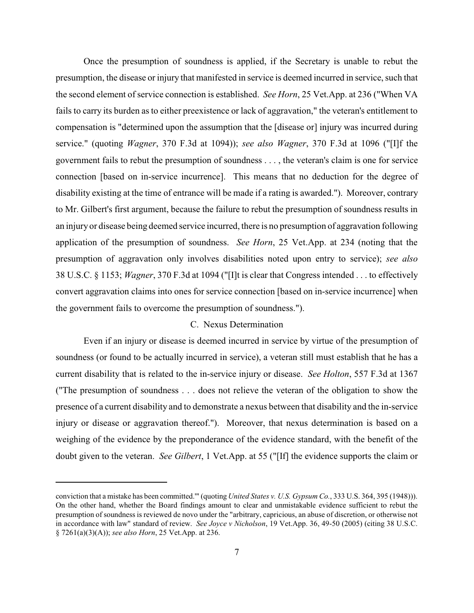Once the presumption of soundness is applied, if the Secretary is unable to rebut the presumption, the disease or injury that manifested in service is deemed incurred in service, such that the second element of service connection is established. *See Horn*, 25 Vet.App. at 236 ("When VA fails to carry its burden as to either preexistence or lack of aggravation," the veteran's entitlement to compensation is "determined upon the assumption that the [disease or] injury was incurred during service." (quoting *Wagner*, 370 F.3d at 1094)); *see also Wagner*, 370 F.3d at 1096 ("[I]f the government fails to rebut the presumption of soundness . . . , the veteran's claim is one for service connection [based on in-service incurrence]. This means that no deduction for the degree of disability existing at the time of entrance will be made if a rating is awarded."). Moreover, contrary to Mr. Gilbert's first argument, because the failure to rebut the presumption of soundness results in an injury or disease being deemed service incurred, there is no presumption of aggravation following application of the presumption of soundness. *See Horn*, 25 Vet.App. at 234 (noting that the presumption of aggravation only involves disabilities noted upon entry to service); *see also* 38 U.S.C. § 1153; *Wagner*, 370 F.3d at 1094 ("[I]t is clear that Congress intended . . . to effectively convert aggravation claims into ones for service connection [based on in-service incurrence] when the government fails to overcome the presumption of soundness.").

# C. Nexus Determination

Even if an injury or disease is deemed incurred in service by virtue of the presumption of soundness (or found to be actually incurred in service), a veteran still must establish that he has a current disability that is related to the in-service injury or disease. *See Holton*, 557 F.3d at 1367 ("The presumption of soundness . . . does not relieve the veteran of the obligation to show the presence of a current disability and to demonstrate a nexus between that disability and the in-service injury or disease or aggravation thereof."). Moreover, that nexus determination is based on a weighing of the evidence by the preponderance of the evidence standard, with the benefit of the doubt given to the veteran. *See Gilbert*, 1 Vet.App. at 55 ("[If] the evidence supports the claim or

conviction that a mistake has been committed.'" (quoting *United States v. U.S. Gypsum Co.*, 333 U.S. 364, 395 (1948))). On the other hand, whether the Board findings amount to clear and unmistakable evidence sufficient to rebut the presumption of soundness is reviewed de novo under the "arbitrary, capricious, an abuse of discretion, or otherwise not in accordance with law" standard of review. *See Joyce v Nicholson*, 19 Vet.App. 36, 49-50 (2005) (citing 38 U.S.C. § 7261(a)(3)(A)); *see also Horn*, 25 Vet.App. at 236.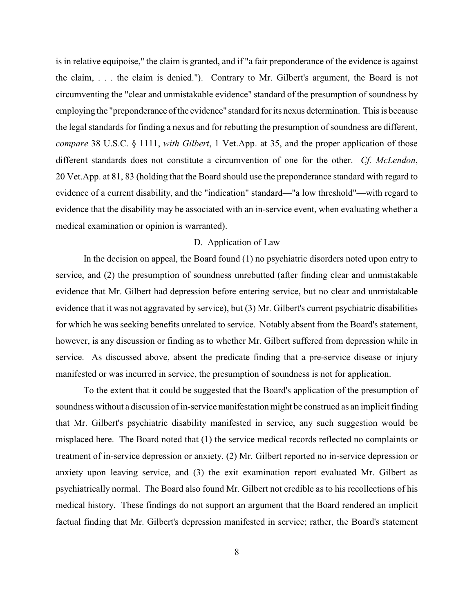is in relative equipoise," the claim is granted, and if "a fair preponderance of the evidence is against the claim, . . . the claim is denied."). Contrary to Mr. Gilbert's argument, the Board is not circumventing the "clear and unmistakable evidence" standard of the presumption of soundness by employing the "preponderance of the evidence" standard for its nexus determination. This is because the legal standards for finding a nexus and for rebutting the presumption of soundness are different, *compare* 38 U.S.C. § 1111, *with Gilbert*, 1 Vet.App. at 35, and the proper application of those different standards does not constitute a circumvention of one for the other. *Cf. McLendon*, 20 Vet.App. at 81, 83 (holding that the Board should use the preponderance standard with regard to evidence of a current disability, and the "indication" standard—"a low threshold"—with regard to evidence that the disability may be associated with an in-service event, when evaluating whether a medical examination or opinion is warranted).

## D. Application of Law

In the decision on appeal, the Board found (1) no psychiatric disorders noted upon entry to service, and (2) the presumption of soundness unrebutted (after finding clear and unmistakable evidence that Mr. Gilbert had depression before entering service, but no clear and unmistakable evidence that it was not aggravated by service), but (3) Mr. Gilbert's current psychiatric disabilities for which he was seeking benefits unrelated to service. Notably absent from the Board's statement, however, is any discussion or finding as to whether Mr. Gilbert suffered from depression while in service. As discussed above, absent the predicate finding that a pre-service disease or injury manifested or was incurred in service, the presumption of soundness is not for application.

To the extent that it could be suggested that the Board's application of the presumption of soundness without a discussion of in-service manifestation might be construed as an implicit finding that Mr. Gilbert's psychiatric disability manifested in service, any such suggestion would be misplaced here. The Board noted that (1) the service medical records reflected no complaints or treatment of in-service depression or anxiety, (2) Mr. Gilbert reported no in-service depression or anxiety upon leaving service, and (3) the exit examination report evaluated Mr. Gilbert as psychiatrically normal. The Board also found Mr. Gilbert not credible as to his recollections of his medical history. These findings do not support an argument that the Board rendered an implicit factual finding that Mr. Gilbert's depression manifested in service; rather, the Board's statement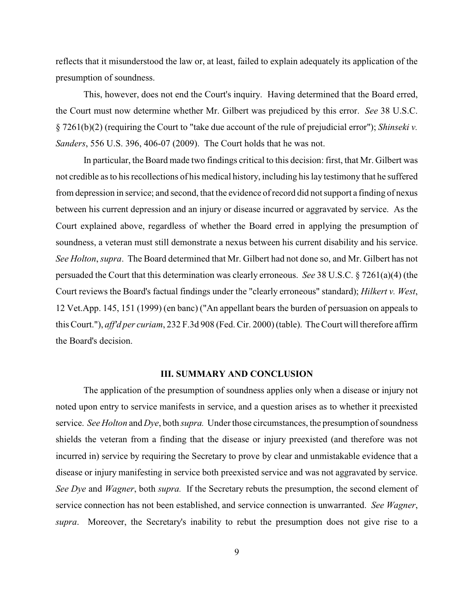reflects that it misunderstood the law or, at least, failed to explain adequately its application of the presumption of soundness.

This, however, does not end the Court's inquiry. Having determined that the Board erred, the Court must now determine whether Mr. Gilbert was prejudiced by this error. *See* 38 U.S.C. § 7261(b)(2) (requiring the Court to "take due account of the rule of prejudicial error"); *Shinseki v. Sanders*, 556 U.S. 396, 406-07 (2009). The Court holds that he was not.

In particular, the Board made two findings critical to this decision: first, that Mr. Gilbert was not credible as to his recollections of his medical history, including his lay testimony that he suffered from depression in service; and second, that the evidence of record did not support a finding of nexus between his current depression and an injury or disease incurred or aggravated by service. As the Court explained above, regardless of whether the Board erred in applying the presumption of soundness, a veteran must still demonstrate a nexus between his current disability and his service. *See Holton*, *supra*. The Board determined that Mr. Gilbert had not done so, and Mr. Gilbert has not persuaded the Court that this determination was clearly erroneous. *See* 38 U.S.C. § 7261(a)(4) (the Court reviews the Board's factual findings under the "clearly erroneous" standard); *Hilkert v. West*, 12 Vet.App. 145, 151 (1999) (en banc) ("An appellant bears the burden of persuasion on appeals to this Court."), *aff'd per curiam*, 232 F.3d 908 (Fed. Cir. 2000) (table). The Court will therefore affirm the Board's decision.

#### **III. SUMMARY AND CONCLUSION**

The application of the presumption of soundness applies only when a disease or injury not noted upon entry to service manifests in service, and a question arises as to whether it preexisted service. *See Holton* and *Dye*, both *supra*. Under those circumstances, the presumption of soundness shields the veteran from a finding that the disease or injury preexisted (and therefore was not incurred in) service by requiring the Secretary to prove by clear and unmistakable evidence that a disease or injury manifesting in service both preexisted service and was not aggravated by service. *See Dye* and *Wagner*, both *supra.* If the Secretary rebuts the presumption, the second element of service connection has not been established, and service connection is unwarranted. *See Wagner*, *supra*. Moreover, the Secretary's inability to rebut the presumption does not give rise to a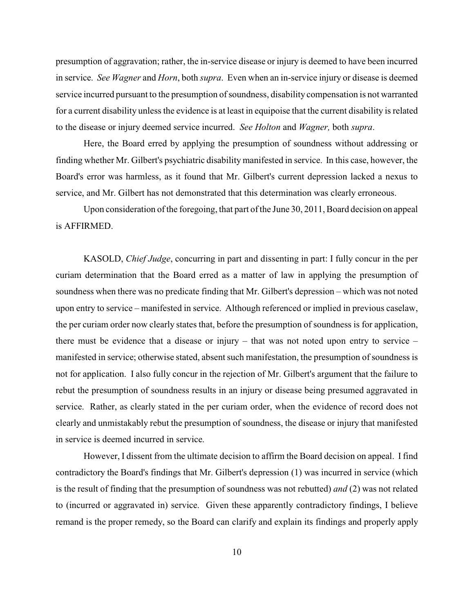presumption of aggravation; rather, the in-service disease or injury is deemed to have been incurred in service. *See Wagner* and *Horn*, both *supra*. Even when an in-service injury or disease is deemed service incurred pursuant to the presumption of soundness, disability compensation is not warranted for a current disability unless the evidence is at least in equipoise that the current disability is related to the disease or injury deemed service incurred. *See Holton* and *Wagner,* both *supra*.

Here, the Board erred by applying the presumption of soundness without addressing or finding whether Mr. Gilbert's psychiatric disability manifested in service. In this case, however, the Board's error was harmless, as it found that Mr. Gilbert's current depression lacked a nexus to service, and Mr. Gilbert has not demonstrated that this determination was clearly erroneous.

Upon consideration of the foregoing, that part of the June 30, 2011, Board decision on appeal is AFFIRMED.

KASOLD, *Chief Judge*, concurring in part and dissenting in part: I fully concur in the per curiam determination that the Board erred as a matter of law in applying the presumption of soundness when there was no predicate finding that Mr. Gilbert's depression – which was not noted upon entry to service – manifested in service. Although referenced or implied in previous caselaw, the per curiam order now clearly states that, before the presumption of soundness is for application, there must be evidence that a disease or injury – that was not noted upon entry to service – manifested in service; otherwise stated, absent such manifestation, the presumption of soundness is not for application. I also fully concur in the rejection of Mr. Gilbert's argument that the failure to rebut the presumption of soundness results in an injury or disease being presumed aggravated in service. Rather, as clearly stated in the per curiam order, when the evidence of record does not clearly and unmistakably rebut the presumption of soundness, the disease or injury that manifested in service is deemed incurred in service.

However, I dissent from the ultimate decision to affirm the Board decision on appeal. I find contradictory the Board's findings that Mr. Gilbert's depression (1) was incurred in service (which is the result of finding that the presumption of soundness was not rebutted) *and* (2) was not related to (incurred or aggravated in) service. Given these apparently contradictory findings, I believe remand is the proper remedy, so the Board can clarify and explain its findings and properly apply